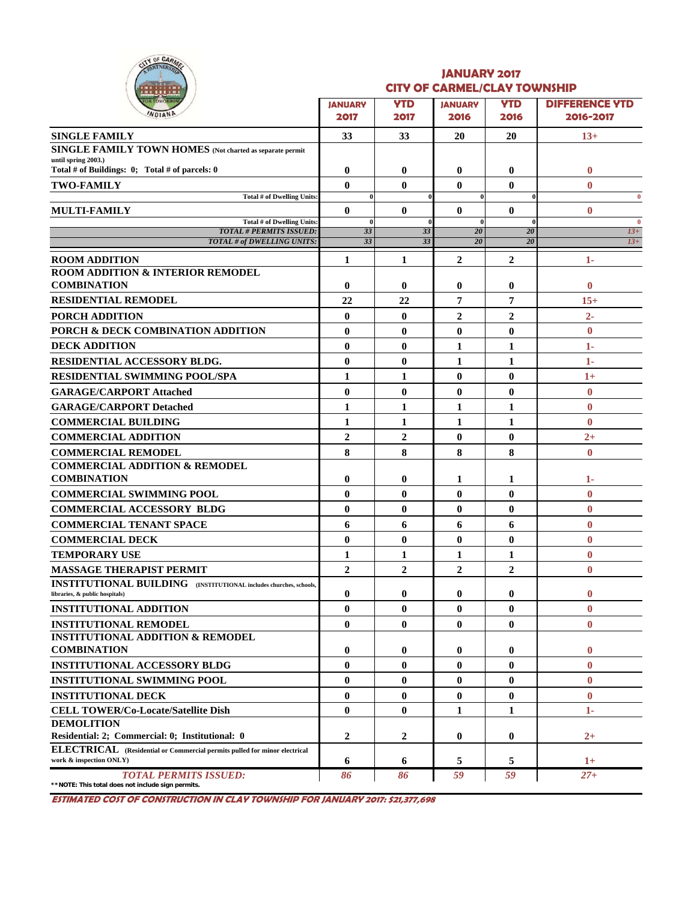

#### **JANUARY 2017 CITY OF CARMEL/CLAY TOWNSHIP**

| .                                                                                                    |                              |                    | <b><i>SAINBERSHAI</i></b> |                    |                                    |
|------------------------------------------------------------------------------------------------------|------------------------------|--------------------|---------------------------|--------------------|------------------------------------|
| <b>OR TOMORROY</b><br><b>NDIANP</b>                                                                  | <b>JANUARY</b><br>2017       | <b>YTD</b><br>2017 | <b>JANUARY</b><br>2016    | <b>YTD</b><br>2016 | <b>DIFFERENCE YTD</b><br>2016-2017 |
| <b>SINGLE FAMILY</b>                                                                                 | 33                           | 33                 | 20                        | 20                 | $13+$                              |
| SINGLE FAMILY TOWN HOMES (Not charted as separate permit                                             |                              |                    |                           |                    |                                    |
| until spring 2003.)                                                                                  |                              |                    |                           |                    |                                    |
| Total # of Buildings: $0$ ; Total # of parcels: 0                                                    | $\bf{0}$                     | $\bf{0}$           | $\bf{0}$                  | 0                  | $\bf{0}$                           |
| <b>TWO-FAMILY</b>                                                                                    | $\mathbf{0}$                 | $\mathbf{0}$       | $\bf{0}$                  | $\bf{0}$           | $\bf{0}$                           |
| Total # of Dwelling Units:                                                                           | $\bf{0}$                     |                    | $\bf{0}$                  | 0                  | $\bf{0}$                           |
| <b>MULTI-FAMILY</b><br>Total # of Dwelling Units:                                                    | $\mathbf{0}$<br>$\mathbf{0}$ | $\mathbf{0}$       | $\bf{0}$<br>$\mathbf{0}$  | $\mathbf{0}$       | $\bf{0}$<br>$\mathbf{0}$           |
| <b>TOTAL # PERMITS ISSUED:</b>                                                                       | 33                           | 33                 | 20                        | 20                 | $13+$                              |
| <b>TOTAL # of DWELLING UNITS:</b>                                                                    | 33                           | 33                 | 20                        | 20                 | $13+$                              |
| <b>ROOM ADDITION</b>                                                                                 | 1                            | 1                  | $\mathbf{2}$              | $\mathbf{2}$       | 1-                                 |
| ROOM ADDITION & INTERIOR REMODEL                                                                     |                              |                    |                           |                    |                                    |
| <b>COMBINATION</b>                                                                                   | $\bf{0}$                     | $\bf{0}$           | $\bf{0}$                  | 0                  | $\mathbf{0}$                       |
| <b>RESIDENTIAL REMODEL</b>                                                                           | 22                           | 22                 | 7                         | 7                  | $15+$                              |
| <b>PORCH ADDITION</b>                                                                                | $\mathbf{0}$                 | $\mathbf{0}$       | $\overline{2}$            | $\overline{2}$     | $2 -$                              |
| PORCH & DECK COMBINATION ADDITION                                                                    | $\bf{0}$                     | $\mathbf{0}$       | $\bf{0}$                  | $\bf{0}$           | $\bf{0}$                           |
| <b>DECK ADDITION</b>                                                                                 | $\bf{0}$                     | $\bf{0}$           | 1                         | 1                  | 1-                                 |
| RESIDENTIAL ACCESSORY BLDG.                                                                          | $\mathbf{0}$                 | $\bf{0}$           | 1                         | 1                  | 1-                                 |
| <b>RESIDENTIAL SWIMMING POOL/SPA</b>                                                                 | $\mathbf{1}$                 | 1                  | $\bf{0}$                  | $\bf{0}$           | $1+$                               |
| <b>GARAGE/CARPORT Attached</b>                                                                       | $\mathbf{0}$                 | $\bf{0}$           | $\bf{0}$                  | $\bf{0}$           | $\bf{0}$                           |
| <b>GARAGE/CARPORT Detached</b>                                                                       | 1                            | 1                  | 1                         | 1                  | $\bf{0}$                           |
| <b>COMMERCIAL BUILDING</b>                                                                           | 1                            | 1                  | 1                         | 1                  | $\bf{0}$                           |
| <b>COMMERCIAL ADDITION</b>                                                                           | $\overline{2}$               | $\overline{2}$     | $\bf{0}$                  | $\bf{0}$           | $2+$                               |
| <b>COMMERCIAL REMODEL</b>                                                                            | 8                            | 8                  | 8                         | 8                  | $\bf{0}$                           |
| <b>COMMERCIAL ADDITION &amp; REMODEL</b>                                                             |                              |                    |                           |                    |                                    |
| <b>COMBINATION</b>                                                                                   | $\bf{0}$                     | $\bf{0}$           | 1                         | 1                  | 1-                                 |
| <b>COMMERCIAL SWIMMING POOL</b>                                                                      | $\mathbf{0}$                 | $\bf{0}$           | $\bf{0}$                  | $\bf{0}$           | $\bf{0}$                           |
| <b>COMMERCIAL ACCESSORY BLDG</b>                                                                     | $\mathbf{0}$                 | $\mathbf{0}$       | 0                         | $\bf{0}$           | $\bf{0}$                           |
| <b>COMMERCIAL TENANT SPACE</b>                                                                       | 6                            | 6                  | 6                         | 6                  | $\bf{0}$                           |
| <b>COMMERCIAL DECK</b>                                                                               | $\bf{0}$                     | $\bf{0}$           | $\bf{0}$                  | $\bf{0}$           | $\mathbf{0}$                       |
| <b>TEMPORARY USE</b>                                                                                 | $\mathbf{1}$                 | 1                  | 1                         | 1                  | $\bf{0}$                           |
| <b>MASSAGE THERAPIST PERMIT</b>                                                                      | $\overline{2}$               | $\mathbf{2}$       | $\overline{2}$            | $\overline{2}$     | $\bf{0}$                           |
| <b>INSTITUTIONAL BUILDING</b> (INSTITUTIONAL includes churches, schools,                             |                              |                    |                           |                    |                                    |
| libraries, & public hospitals)                                                                       | $\bf{0}$                     | $\bf{0}$           | $\bf{0}$                  | $\bf{0}$           | $\bf{0}$                           |
| <b>INSTITUTIONAL ADDITION</b>                                                                        | $\bf{0}$                     | $\bf{0}$           | $\bf{0}$                  | 0                  | $\bf{0}$                           |
| <b>INSTITUTIONAL REMODEL</b>                                                                         | $\bf{0}$                     | $\mathbf{0}$       | $\bf{0}$                  | $\bf{0}$           | $\bf{0}$                           |
| <b>INSTITUTIONAL ADDITION &amp; REMODEL</b>                                                          |                              |                    |                           |                    |                                    |
| <b>COMBINATION</b>                                                                                   | $\bf{0}$                     | $\bf{0}$           | $\bf{0}$                  | 0                  | $\bf{0}$                           |
| <b>INSTITUTIONAL ACCESSORY BLDG</b>                                                                  | $\bf{0}$                     | $\mathbf{0}$       | $\bf{0}$                  | $\bf{0}$           | $\mathbf{0}$                       |
| <b>INSTITUTIONAL SWIMMING POOL</b>                                                                   | $\bf{0}$                     | $\bf{0}$           | $\bf{0}$                  | $\bf{0}$           | $\bf{0}$                           |
| <b>INSTITUTIONAL DECK</b>                                                                            | $\bf{0}$                     | $\bf{0}$           | $\bf{0}$                  | 0                  | $\bf{0}$                           |
| <b>CELL TOWER/Co-Locate/Satellite Dish</b>                                                           | $\bf{0}$                     | $\bf{0}$           | 1                         | 1                  | 1-                                 |
| <b>DEMOLITION</b>                                                                                    |                              |                    |                           |                    |                                    |
| Residential: 2; Commercial: 0; Institutional: 0                                                      | $\overline{2}$               | $\overline{2}$     | $\bf{0}$                  | 0                  | $2+$                               |
| ELECTRICAL (Residential or Commercial permits pulled for minor electrical<br>work & inspection ONLY) | 6                            | 6                  | 5                         | 5                  | $1+$                               |
| TOTAL PERMITS ISSUED:<br>**NOTE: This total does not include sign permits.                           | 86                           | 86                 | 59                        | 59                 | $27+$                              |

**ESTIMATED COST OF CONSTRUCTION IN CLAY TOWNSHIP FOR JANUARY 2017: \$21,377,698**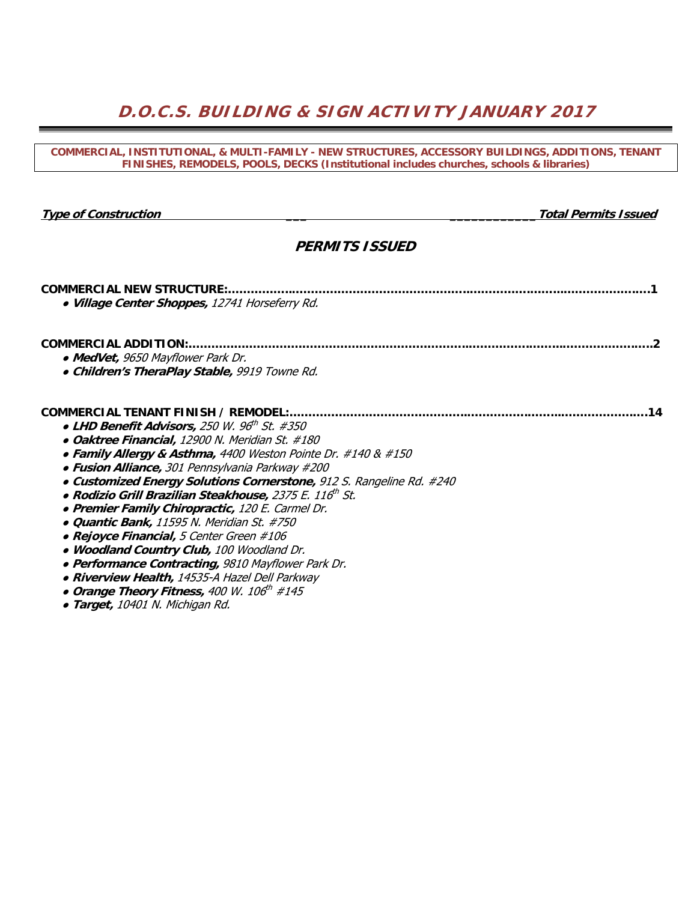# **D.O.C.S. BUILDING & SIGN ACTIVITY JANUARY 2017**

#### **COMMERCIAL, INSTITUTIONAL, & MULTI-FAMILY - NEW STRUCTURES, ACCESSORY BUILDINGS, ADDITIONS, TENANT FINISHES, REMODELS, POOLS, DECKS (Institutional includes churches, schools & libraries)**

|  | <b>Type of Construction</b> |  |
|--|-----------------------------|--|
|  |                             |  |

#### **Total Permits Issued**

## **PERMITS ISSUED**

| <b>COMMERCIAL NEW STRUCTURE:</b><br>• Village Center Shoppes, 12741 Horseferry Rd.                                                                                                                                                                                                                                                                                                                                                                                                                                                                                                                                                                                                                                                                                                                         |  |
|------------------------------------------------------------------------------------------------------------------------------------------------------------------------------------------------------------------------------------------------------------------------------------------------------------------------------------------------------------------------------------------------------------------------------------------------------------------------------------------------------------------------------------------------------------------------------------------------------------------------------------------------------------------------------------------------------------------------------------------------------------------------------------------------------------|--|
| <b>COMMERCIAL ADDITION:</b><br>• MedVet, 9650 Mayflower Park Dr.<br>• Children's TheraPlay Stable, 9919 Towne Rd.                                                                                                                                                                                                                                                                                                                                                                                                                                                                                                                                                                                                                                                                                          |  |
| COMMERCIAL TENANT FINISH / REMODEL:<br>• LHD Benefit Advisors, 250 W. 96 <sup>th</sup> St. #350<br>• Oaktree Financial, 12900 N. Meridian St. #180<br>• Family Allergy & Asthma, 4400 Weston Pointe Dr. #140 & #150<br>• Fusion Alliance, 301 Pennsylvania Parkway #200<br>• Customized Energy Solutions Cornerstone, 912 S. Rangeline Rd. #240<br>• Rodizio Grill Brazilian Steakhouse, 2375 E. 116th St.<br>• Premier Family Chiropractic, 120 E. Carmel Dr.<br>• Quantic Bank, 11595 N. Meridian St. #750<br>• Rejoyce Financial, 5 Center Green #106<br>. Woodland Country Club, 100 Woodland Dr.<br>• Performance Contracting, 9810 Mayflower Park Dr.<br>• Riverview Health, 14535-A Hazel Dell Parkway<br>• Orange Theory Fitness, 400 W. 106 <sup>th</sup> #145<br>· Target, 10401 N. Michigan Rd. |  |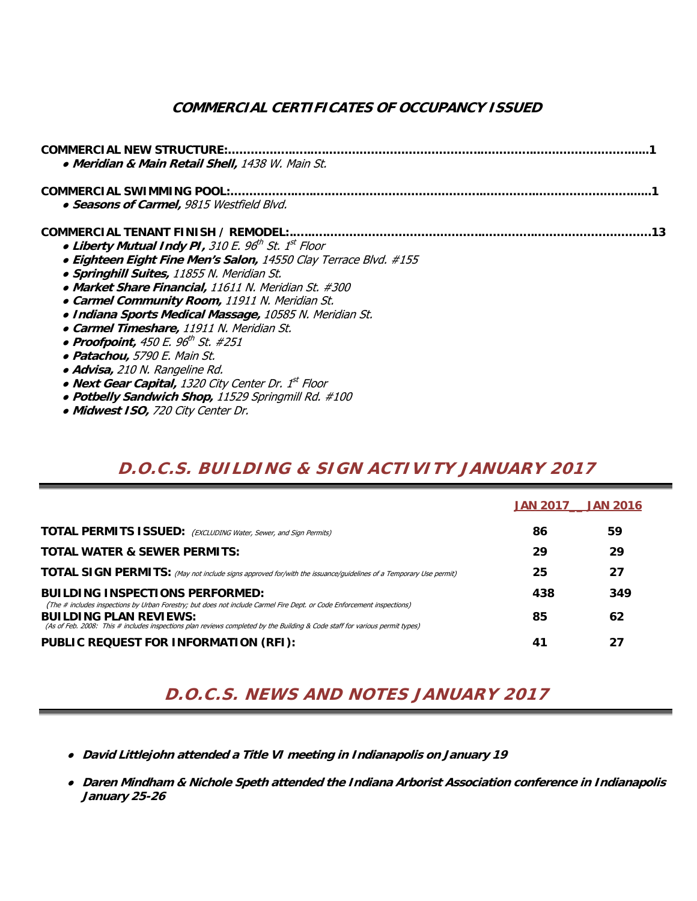## **COMMERCIAL CERTIFICATES OF OCCUPANCY ISSUED**

| <b>COMMERCIAL NEW STRUCTURE:</b>                                  |  |
|-------------------------------------------------------------------|--|
| • Meridian & Main Retail Shell, 1438 W. Main St.                  |  |
|                                                                   |  |
| • Seasons of Carmel, 9815 Westfield Blvd.                         |  |
| COMMERCIAL TENANT FINISH / REMODEL:.                              |  |
| • Liberty Mutual Indy PI, 310 E. $96th$ St. 1 <sup>st</sup> Floor |  |
| • Eighteen Eight Fine Men's Salon, 14550 Clay Terrace Blvd. #155  |  |
| • Springhill Suites, 11855 N. Meridian St.                        |  |
| • Market Share Financial, 11611 N. Meridian St. #300              |  |
| • Carmel Community Room, 11911 N. Meridian St.                    |  |
| • Indiana Sports Medical Massage, 10585 N. Meridian St.           |  |
| • Carmel Timeshare, 11911 N. Meridian St.                         |  |
| • Proofpoint, $450 E. 96th St. #251$                              |  |
| • Patachou, 5790 E. Main St.                                      |  |
| • Advisa, 210 N. Rangeline Rd.                                    |  |
| • Next Gear Capital, 1320 City Center Dr. 1st Floor               |  |
| . Potbelly Sandwich Shop, 11529 Springmill Rd. #100               |  |
| • Midwest ISO, 720 City Center Dr.                                |  |

# **D.O.C.S. BUILDING & SIGN ACTIVITY JANUARY 2017**

|                                                                                                                                                                                                                                                                                        | <b>JAN 2017</b> | <b>JAN 2016</b> |
|----------------------------------------------------------------------------------------------------------------------------------------------------------------------------------------------------------------------------------------------------------------------------------------|-----------------|-----------------|
| <b>TOTAL PERMITS ISSUED:</b> (EXCLUDING Water, Sewer, and Sign Permits)                                                                                                                                                                                                                | 86              | 59              |
| <b>TOTAL WATER &amp; SEWER PERMITS:</b>                                                                                                                                                                                                                                                | 29              | 29              |
| TOTAL SIGN PERMITS: (May not include signs approved for/with the issuance/guidelines of a Temporary Use permit)                                                                                                                                                                        | 25              | 27              |
| <b>BUILDING INSPECTIONS PERFORMED:</b>                                                                                                                                                                                                                                                 | 438             | 349             |
| (The # includes inspections by Urban Forestry; but does not include Carmel Fire Dept. or Code Enforcement inspections)<br><b>BUILDING PLAN REVIEWS:</b><br>(As of Feb. 2008: This # includes inspections plan reviews completed by the Building & Code staff for various permit types) | 85              | 62              |
| PUBLIC REQUEST FOR INFORMATION (RFI):                                                                                                                                                                                                                                                  | 41              | 27              |

# **D.O.C.S. NEWS AND NOTES JANUARY 2017**

- ● **David Littlejohn attended a Title VI meeting in Indianapolis on January 19**
- **Daren Mindham & Nichole Speth attended the Indiana Arborist Association conference in Indianapolis January 25-26**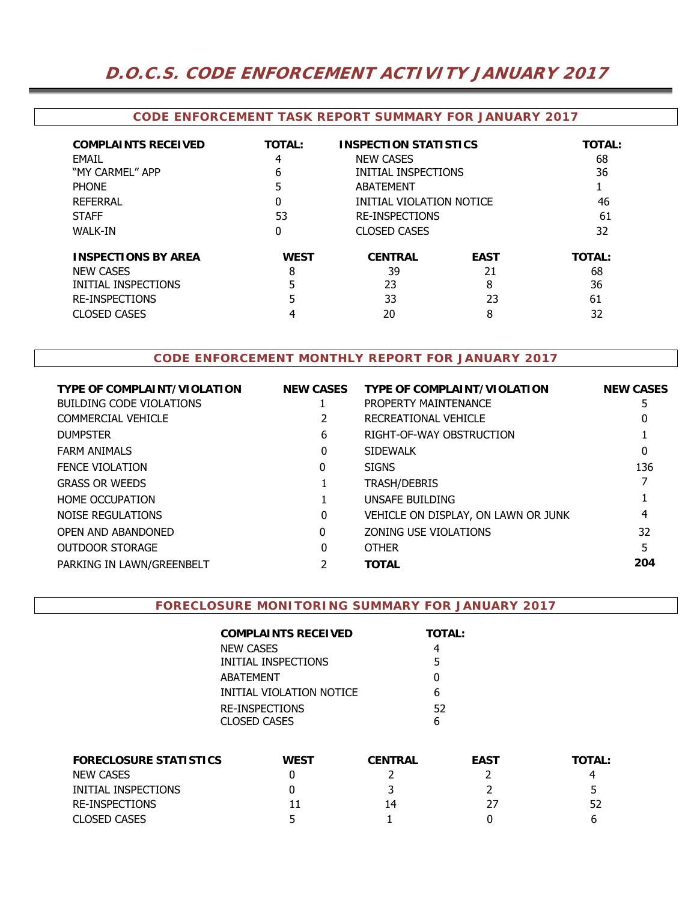# **D.O.C.S. CODE ENFORCEMENT ACTIVITY JANUARY 2017**

#### **CODE ENFORCEMENT TASK REPORT SUMMARY FOR JANUARY 2017**

| <b>COMPLAINTS RECEIVED</b> | <b>TOTAL:</b> | <b>INSPECTION STATISTICS</b> |             | <b>TOTAL:</b> |
|----------------------------|---------------|------------------------------|-------------|---------------|
| FMAIL                      | 4             | <b>NEW CASES</b>             | 68          |               |
| "MY CARMEL" APP            | 6             | INITIAL INSPECTIONS          |             | 36            |
| <b>PHONE</b>               | 5             | <b>ABATEMENT</b>             |             |               |
| <b>REFERRAL</b>            | 0             | INITIAL VIOLATION NOTICE     |             | 46            |
| <b>STAFF</b>               | 53            | <b>RE-INSPECTIONS</b>        | 61          |               |
| WALK-IN                    | 0             | <b>CLOSED CASES</b>          |             | 32            |
| <b>INSPECTIONS BY AREA</b> | <b>WEST</b>   | <b>CENTRAL</b>               | <b>EAST</b> | <b>TOTAL:</b> |
| <b>NEW CASES</b>           | 8             | 39                           | 21          | 68            |
| INITIAL INSPECTIONS        | 5             | 23                           | 8           | 36            |
| <b>RE-INSPECTIONS</b>      | 5             | 33                           | 23          | 61            |
| <b>CLOSED CASES</b>        | 4             | 20                           | 8           | 32            |

### **CODE ENFORCEMENT MONTHLY REPORT FOR JANUARY 2017**

| TYPE OF COMPLAINT/VIOLATION | <b>NEW CASES</b> | TYPE OF COMPLAINT/VIOLATION         | <b>NEW CASES</b> |
|-----------------------------|------------------|-------------------------------------|------------------|
| BUILDING CODE VIOLATIONS    |                  | PROPERTY MAINTENANCE                |                  |
| <b>COMMERCIAL VEHICLE</b>   |                  | RECREATIONAL VEHICLE                |                  |
| <b>DUMPSTER</b>             | 6                | RIGHT-OF-WAY OBSTRUCTION            |                  |
| <b>FARM ANIMALS</b>         | 0                | <b>SIDEWALK</b>                     | 0                |
| <b>FENCE VIOLATION</b>      | 0                | <b>SIGNS</b>                        | 136              |
| <b>GRASS OR WEEDS</b>       |                  | TRASH/DEBRIS                        |                  |
| <b>HOME OCCUPATION</b>      |                  | UNSAFE BUILDING                     |                  |
| NOISE REGULATIONS           | 0                | VEHICLE ON DISPLAY, ON LAWN OR JUNK | 4                |
| OPEN AND ABANDONED          | $\Omega$         | ZONING USE VIOLATIONS               | 32               |
| OUTDOOR STORAGE             | 0                | <b>OTHER</b>                        | 5                |
| PARKING IN LAWN/GREENBELT   |                  | <b>TOTAL</b>                        | 204              |
|                             |                  |                                     |                  |

#### **FORECLOSURE MONITORING SUMMARY FOR JANUARY 2017**

| COMPLAINTS RECEIVED      | <b>TOTAL:</b> |
|--------------------------|---------------|
| NEW CASES                |               |
| INITIAL INSPECTIONS      | 5             |
| ABATEMENT                | $\mathbf{0}$  |
| INITIAL VIOLATION NOTICE | 6             |
| RE-INSPECTIONS           | 52            |
| CLOSED CASES             |               |

| <b>FORECLOSURE STATISTICS</b> | <b>WEST</b> | <b>CENTRAL</b> | <b>EAST</b> | <b>TOTAL:</b> |
|-------------------------------|-------------|----------------|-------------|---------------|
| <b>NEW CASES</b>              |             |                |             |               |
| INITIAL INSPECTIONS           |             |                |             |               |
| RE-INSPECTIONS                |             | 14             | 27          | 52            |
| <b>CLOSED CASES</b>           |             |                |             |               |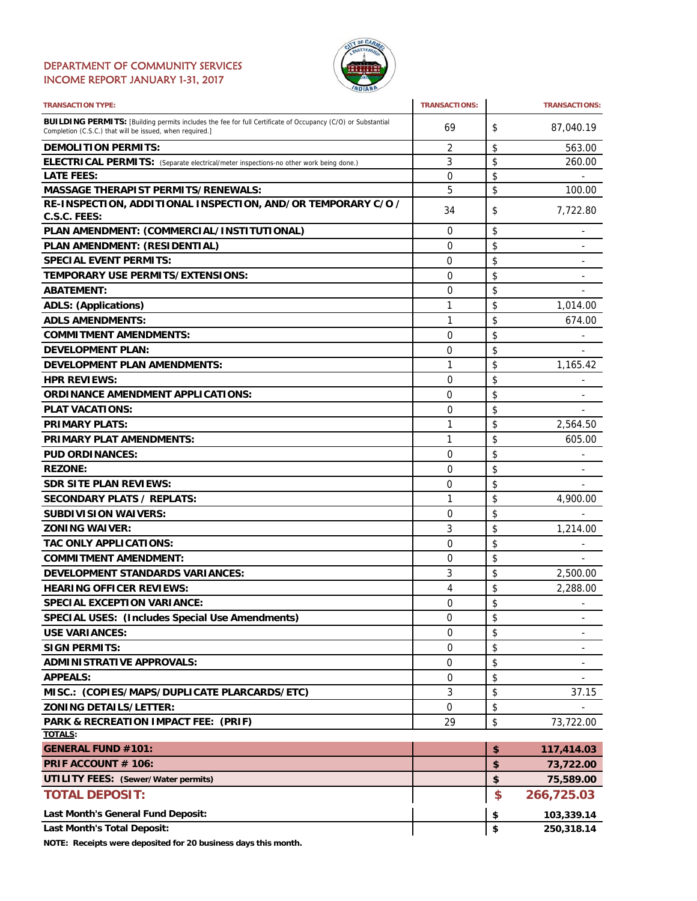### DEPARTMENT OF COMMUNITY SERVICES INCOME REPORT JANUARY 1-31, 2017



| <b>TRANSACTION TYPE:</b>                                                                                                                                                       | <b>TRANSACTIONS:</b> | <b>TRANSACTIONS:</b>           |
|--------------------------------------------------------------------------------------------------------------------------------------------------------------------------------|----------------------|--------------------------------|
| <b>BUILDING PERMITS:</b> [Building permits includes the fee for full Certificate of Occupancy (C/O) or Substantial<br>Completion (C.S.C.) that will be issued, when required.] | 69                   | \$<br>87,040.19                |
| <b>DEMOLITION PERMITS:</b>                                                                                                                                                     | $\overline{2}$       | \$<br>563.00                   |
| ELECTRICAL PERMITS: (Separate electrical/meter inspections-no other work being done.)                                                                                          | 3                    | \$<br>260.00                   |
| <b>LATE FEES:</b>                                                                                                                                                              | 0                    | \$                             |
| <b>MASSAGE THERAPIST PERMITS/RENEWALS:</b>                                                                                                                                     | 5                    | \$<br>100.00                   |
| RE-INSPECTION, ADDITIONAL INSPECTION, AND/OR TEMPORARY C/O /                                                                                                                   | 34                   | \$<br>7,722.80                 |
| C.S.C. FEES:                                                                                                                                                                   |                      |                                |
| PLAN AMENDMENT: (COMMERCIAL/INSTITUTIONAL)                                                                                                                                     | 0                    | \$                             |
| PLAN AMENDMENT: (RESIDENTIAL)                                                                                                                                                  | 0                    | \$                             |
| <b>SPECIAL EVENT PERMITS:</b>                                                                                                                                                  | 0                    | \$                             |
| <b>TEMPORARY USE PERMITS/EXTENSIONS:</b>                                                                                                                                       | 0                    | \$                             |
| <b>ABATEMENT:</b>                                                                                                                                                              | 0                    | \$                             |
| <b>ADLS: (Applications)</b>                                                                                                                                                    | 1                    | \$<br>1,014.00                 |
| <b>ADLS AMENDMENTS:</b>                                                                                                                                                        | 1                    | \$<br>674.00                   |
| <b>COMMITMENT AMENDMENTS:</b>                                                                                                                                                  | 0                    | \$                             |
| <b>DEVELOPMENT PLAN:</b>                                                                                                                                                       | 0                    | \$                             |
| <b>DEVELOPMENT PLAN AMENDMENTS:</b>                                                                                                                                            | 1                    | \$<br>1,165.42                 |
| <b>HPR REVIEWS:</b>                                                                                                                                                            | 0                    | \$                             |
| <b>ORDINANCE AMENDMENT APPLICATIONS:</b>                                                                                                                                       | 0                    | \$                             |
| <b>PLAT VACATIONS:</b>                                                                                                                                                         | 0                    | \$                             |
| <b>PRIMARY PLATS:</b>                                                                                                                                                          | 1                    | \$<br>2,564.50                 |
| <b>PRIMARY PLAT AMENDMENTS:</b>                                                                                                                                                | $\mathbf{1}$         | \$<br>605.00                   |
| <b>PUD ORDINANCES:</b>                                                                                                                                                         | 0                    | \$<br>٠                        |
| <b>REZONE:</b>                                                                                                                                                                 | 0                    | \$<br>$\overline{\phantom{0}}$ |
| <b>SDR SITE PLAN REVIEWS:</b>                                                                                                                                                  | 0                    | \$                             |
| <b>SECONDARY PLATS / REPLATS:</b>                                                                                                                                              | 1                    | \$<br>4,900.00                 |
| <b>SUBDIVISION WAIVERS:</b>                                                                                                                                                    | 0                    | \$                             |
| <b>ZONING WAIVER:</b>                                                                                                                                                          | 3                    | \$<br>1,214.00                 |
| <b>TAC ONLY APPLICATIONS:</b>                                                                                                                                                  | 0                    | \$<br>۰                        |
| <b>COMMITMENT AMENDMENT:</b>                                                                                                                                                   | 0                    | \$                             |
| DEVELOPMENT STANDARDS VARIANCES:                                                                                                                                               | 3                    | \$<br>2,500.00                 |
| <b>HEARING OFFICER REVIEWS:</b>                                                                                                                                                | 4                    | \$<br>2,288.00                 |
| <b>SPECIAL EXCEPTION VARIANCE:</b>                                                                                                                                             | $\Omega$             | \$                             |
| <b>SPECIAL USES: (Includes Special Use Amendments)</b>                                                                                                                         | 0                    | \$<br>-                        |
| <b>USE VARIANCES:</b>                                                                                                                                                          | 0                    | \$                             |
| <b>SIGN PERMITS:</b>                                                                                                                                                           | 0                    | \$                             |
| <b>ADMINISTRATIVE APPROVALS:</b>                                                                                                                                               | 0                    | \$<br>٠                        |
| <b>APPEALS:</b>                                                                                                                                                                | 0                    | \$                             |
| MISC.: (COPIES/MAPS/DUPLICATE PLARCARDS/ETC)                                                                                                                                   | 3                    | \$<br>37.15                    |
| <b>ZONING DETAILS/LETTER:</b>                                                                                                                                                  | 0                    | \$<br>-                        |
| PARK & RECREATION IMPACT FEE: (PRIF)                                                                                                                                           | 29                   | \$<br>73,722.00                |
| <b>TOTALS:</b>                                                                                                                                                                 |                      |                                |
| <b>GENERAL FUND #101:</b>                                                                                                                                                      |                      | \$<br>117,414.03               |
| PRIF ACCOUNT # 106:                                                                                                                                                            |                      | \$<br>73,722.00                |
| <b>UTILITY FEES: (Sewer/Water permits)</b>                                                                                                                                     |                      | \$<br>75,589.00                |
| <b>TOTAL DEPOSIT:</b>                                                                                                                                                          |                      | \$<br>266,725.03               |
| Last Month's General Fund Deposit:                                                                                                                                             |                      | \$<br>103,339.14               |
| <b>Last Month's Total Deposit:</b>                                                                                                                                             |                      | \$<br>250,318.14               |

**NOTE: Receipts were deposited for 20 business days this month.**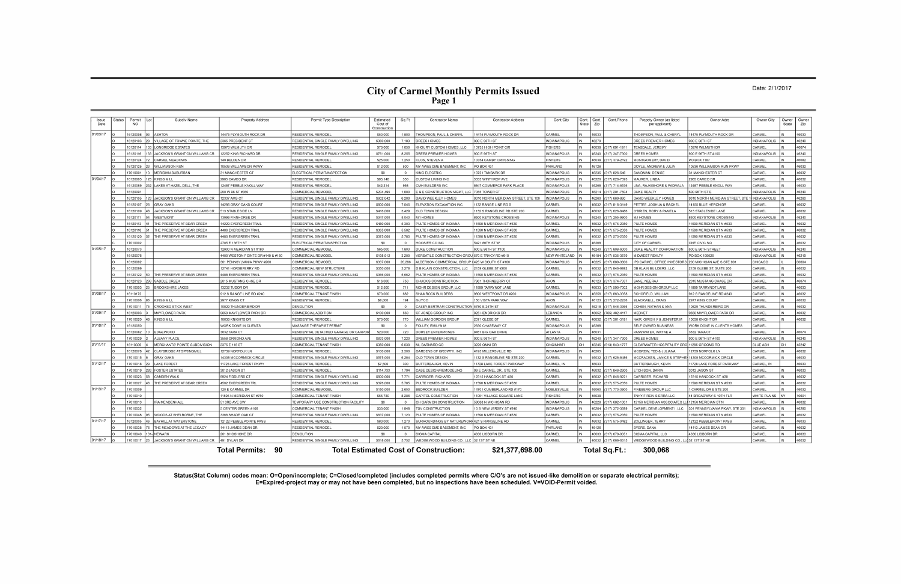# **City of Carmel Monthly Permits Issued<br>Page 1**

| Issue<br>Date | Status | Permit<br><b>NO</b> | Subdiv Name                         | <b>Property Address</b>           | Permit Type Description               | Estimated<br>Cost of<br>Constructio | Sq Ft      | <b>Contractor Name</b>                       | <b>Contractor Address</b>           | Cont.City           | State | Cont.   Cont.<br>Cont.Phone<br>Zip | Propety Owner (as listed<br>per applicant)         | Owner Adrs                     | Owner City          | Owner<br>State | Owner<br>Zip |
|---------------|--------|---------------------|-------------------------------------|-----------------------------------|---------------------------------------|-------------------------------------|------------|----------------------------------------------|-------------------------------------|---------------------|-------|------------------------------------|----------------------------------------------------|--------------------------------|---------------------|----------------|--------------|
| 01/03/17      |        | 6120098             | ASHTON                              | 4475 PLYMOUTH ROCK DR             | RESIDENTIAL REMODEL                   | \$50,000                            | 1.800      | THOMPSON, PAUL & CHERYL                      | 14475 PLYMOUTH ROCK DR              | CARMEL              |       | 46033                              | HOMPSON, PAUL & CHERYI                             | 14475 PLYMOUTH ROCK DR         | <b>ARMEL</b>        |                | 46033        |
|               |        | 6120103             | VILLAGE OF TOWNE POINTE. THE        | 2365 PRESIDENT ST                 | RESIDENTIAL SINGLE FAMILY DWELLING    | \$360,000                           | 7.183      | <b>DREES HOMES</b>                           | 900 E 96TH ST                       | <b>INDIANAPOLIS</b> |       | 46270                              | OREES PREMIER HOMES                                | 900 E 96TH ST                  | <b>INDIANAPOLIS</b> |                | 46240        |
|               |        | 6120114             | I ONGRIDGE ESTATES                  | 3976 WILMUTH DR                   | RESIDENTIAL REMODEL                   | \$70,000                            | 1.650      | KHOURY CUSTOM HOMES. LLC                     | 13735 HIGH POINT CIR                | <b>FISHERS</b>      |       | 46038<br>(317) 691-1911            | EASDALE, JEREMY                                    | 13976 WILMUTH DR               | ARMFI               |                | 46074        |
|               |        | 6120116             | 33 I JACKSON'S GRANT ON WILLIAMS CR | 12252 KING RICHARD DR             | RESIDENTIAL SINGLE FAMILY DWELLING    | \$761,000                           | 8,255      | <b>DREES PREMIER HOMES</b>                   | 900 E 96TH ST                       | <b>INDIANAPOLIS</b> |       | 46240<br>(317) 347-7300            | <b>DREES HOMES</b>                                 | 900 E 96TH ST #100             | <b>INDIANAPOLIS</b> |                | 46240        |
|               |        | 6120124             | <b>CARMEL MEADOWS</b>               | 49 BELDEN DR                      | RESIDENTIAL REMODEL                   | \$25,000                            | 1.250      | <b>CLOS. STEVEN A</b>                        | 10354 CAMBY CROSSING                | <b>FISHERS</b>      |       | 46038<br>(317) 379-2192            | <b>IONTGOMERY, DAVID</b>                           | PO BOX 1187                    | <b>ARMEL</b>        |                | 46082        |
|               |        | 6120125             | <b>WILLIAMSON RUN</b>               | 0536 WILLIAMSON PKWY              | RESIDENTIAL REMODEL                   | \$12,000                            | 500        | MY AWESOME BASEMENT, INC                     | PO BOX 431                          | <b>FAIRI AND</b>    |       | 46126                              | OOYLE, ANDREW & JULIA                              | 0536 WILLIAMSON RUN PKWY       | <b>ARMF</b>         |                | 46032        |
|               |        | 7010001             | <b>MERIDIAN SUBURBAN</b>            | 31 MANCHESTER CT                  | ELECTRICAL PERMIT/INSPECTION          | \$0                                 | $\sim$     | KING ELECTRIC                                | 10721 TANBARK DF                    | <b>INDIANAPOLIS</b> |       | 46235<br>(317) 826-546             | <b>SANDMAN, DENISE</b>                             | 31 MANCHESTER CT               | CARMEL              |                | 46032        |
| 01/04/17      |        | 6120065             | 5 KINGS MILL                        | 2985 CAMEO DR                     | RESIDENTIAL REMODEL                   | \$95.148                            | 350        | <b>CUSTOM LIVING INC</b>                     | 5335 WINTHROP AVE                   | <b>NDIANAPOLIS</b>  |       | 46220<br>(317) 626-7393            | <b>JAURER, LINDA</b>                               | 2985 CAMEO DR                  | <b>ARMEL</b>        |                | 46032        |
|               |        | 6120089             | 2 LAKES AT HAZEL DELL, THE          | 12487 PEBBLE KNOLL WAY            | RESIDENTIAL REMODEL                   | \$42,214                            | 968        | CMH BUILDERS INC                             | 8847 COMMERCE PARK PLACE            | <b>INDIANAPOLIS</b> |       | 46268<br>(317) 714-6536            | INA, RAJKISHORE & PADMAJA                          | 2487 PEBBLE KNOLL WAY          | <b>ARMFI</b>        |                | 46033        |
|               |        | 6120091             |                                     | 250 W 96 ST #350                  | COMMERCIAL REMODEL                    | \$204.495                           | 1.600      | E & E CONSTRUCTION MGMT. LLO                 | 7055 TOWER CT                       | <b>NDIANAPOLIS</b>  |       | 46214<br>(317) 201-7504            | UKE REALTY                                         | 300 96TH ST E                  | <b>NDIANAPOLIS</b>  |                | 46240        |
|               |        | 6120105             | JACKSON'S GRANT ON WILLIAMS CR      | 12337 AMS CT                      | RESIDENTIAL SINGLE FAMILY DWELLING    | \$602,042                           | 6,200      | DAVID WEEKLEY HOMES                          | 3310 NORTH MERIDIAN STREET, STE 100 | NDIANAPOLIS         |       | 46260<br>317) 669-860              | <b>AVID WEEKLEY HOMES</b>                          | 310 NORTH MERIDIAN STREET, STE | <b>INDIANAPOLIS</b> |                | 46260        |
|               |        | 6120107             | <b>GRAY OAKS</b>                    | 4295 GRAY OAKS COUR'              | RESIDENTIAL SINGLE FAMILY DWELLING    | \$600,000                           | 7.045      | ELEVATION EXCAVATION INC                     | 1132 RANGE LINE RD 5                | CARMEL              |       | 46032<br>(317) 816-3149            | ETTEE, JOSHUA & RACHEI                             | 4155 BLUE HERON DR             | ARMFI               |                | 46032        |
|               |        | 6120109             | JACKSON'S GRANT ON WILLIAMS CR      | 513 STABLESIDE LN                 | RESIDENTIAL SINGLE FAMILY DWELLING    | \$416,000                           | 3.429      | OLD TOWN DESIGN                              | 1132 S RANGELINE RD STE 200         | CARMEL              |       | 46032<br>(317) 626-8486            | BRIEN, RORY & PAMELA                               | 513 STABLESIDE LANE            | ARMEL               |                | 46032        |
|               |        | 6120111             | <b>WESTMONT</b>                     | 3996 FINNHORSE DR                 | RESIDENTIAL SINGLE FAMILY DWELLING    | \$347,000                           | 5,043      | M/LHOMES                                     | 8500 KEYSTONE CROSSING              | <b>INDIANAPOLIS</b> |       | 46240<br>(317) 255-9900            | <b>ILHOMES</b>                                     | <b>B500 KEYSTONE CROSSING</b>  | <b>NDIANAPOLIS</b>  |                | 46240        |
|               |        | 6120113             | THE PRESERVE AT BEAR CREEK          | 4229 EVERGREEN TRAIL              | RESIDENTIAL SINGLE FAMILY DWELLING    | \$480,000                           | 5,303      | PULTE HOMES OF INDIANA                       | 11590 N MERIDIAN ST #530            | CARMEL              |       | 46032<br>(317) 575-2350            | ULTE HOMES                                         | 1590 MERIDIAN ST N #530        | <b>ARMEL</b>        |                | 46032        |
|               |        | 6120118             | THE PRESERVE AT BEAR CREEK          | <b>4486 EVERGREEN TRAI</b>        | RESIDENTIAL SINGLE FAMILY DWELLING    | \$365,000                           | 5,582      | PULTE HOMES OF INDIANA                       | 11590 N MERIDIAN ST #530            | CARMEL              |       | 46032<br>(317) 575-2350            | ULTE HOMES                                         | 1590 MERIDIAN ST N #530        | ARMFI               |                | 46032        |
|               |        | 6120120             | THE PRESERVE AT BEAR CREEK          | 4480 EVERGREEN TRAIL              | RESIDENTIAL SINGLE FAMILY DWELLING    | \$375,000                           | 5.785      | PULTE HOMES OF INDIANA                       | 11590 N MERIDIAN ST #530            | CARMEL              | IN.   | 46032<br>317) 575-2350             | ULTE HOMES                                         | 1590 MERIDIAN ST N #530        | ARMEL               |                | 46032        |
|               |        | 17010002            |                                     | 2705 E 136TH ST                   | ELECTRICAL PERMIT/INSPECTION          | \$0                                 | $\Omega$   | HOOSIER CO INC.                              | 5421 86TH ST W                      | <b>INDIANAPOLIS</b> |       | 46268                              | <b>ITY OF CARMEL</b>                               | ONE CIVIC SQ                   | ARMEI               |                | 46032        |
| 01/05/17      |        | 6120073             |                                     | 2900 N MERIDIAN ST #180           | COMMERCIAL REMODEL                    | \$65.000                            | 1.803      | <b>DUKE CONSTRUCTION</b>                     | 600 E 96TH ST #100                  | <b>NDIANAPOLIS</b>  |       | 46240<br>(317) 808-6000            | UKE REALITY CORPORATION                            | 600 E 96TH STREET              | NDIANAPOLIS         |                | 46240        |
|               |        | 6120076             |                                     | 4400 WESTON POINTE DR #140 & #150 | COMMERCIAL REMODEL                    | \$198,912                           | 3,200      | VERSATILE CONSTRUCTION GRO                   | J 570 E TRACY RD #610               | NEW WHITELAND       |       | 46184<br>(317) 535-3579            | <b>IIDWEST REALTY</b>                              | PO BOX 199026                  | <b>INDIANAPOLIS</b> |                | 46219        |
|               |        | 6120092             |                                     | 301 PENNSYLVANIA PKWY #200        | COMMERCIAL REMODEL                    | \$337,000                           | 20.296     | ALDERSON COMMERCIAL GROUP                    | 425 W SOUTH ST #100                 | <b>INDIANAPOLIS</b> |       | 46225<br>(317) 889-3800            | <b>99 CARMEL OFFICE INVESTORS</b>                  | 200 MICHIGAN AVE S STE 901     | <b>HICAGO</b>       |                | 60604        |
|               |        | 6120099             |                                     | 12741 HORSEFERRY RD               | COMMERCIAL NEW STRUCTURE              | \$350,000                           | 3,278      | <b>D B KLAIN CONSTRUCTION, LLC</b>           | 2159 GLEBE ST #200                  | CARMEL              |       | 46032<br>(317) 846-9992            | B KLAIN BUILDERS, LLC                              | 159 GLEBE ST, SUITE 200        | ARMEL               |                | 46032        |
|               |        | 6120122             | THE PRESERVE AT BEAR CREEK          | 4488 EVERGREEN TRAIL              | RESIDENTIAL SINGLE FAMILY DWELLING    | \$366,000                           | 5.662      | PULTE HOMES OF INDIANA                       | 11590 N MERIDIAN ST #530            | CARMEL              |       | 46032<br>(317) 575-2350            | ULTE HOMES                                         | 1590 MERIDIAN ST N #530        | ARMEL               |                | 46032        |
|               |        | 6120123             | SADDLE CREEK                        | 2015 MUSTANG CHSE DR              | RESIDENTIAL REMODE                    | \$16,000                            | 750        | CHUCK'S CONSTRUCTION                         | 7961 THORNRERRY CT                  | <b>MOVA</b>         |       | 46123<br>(317) 374-7337            | ANE NEERAJ                                         | <b>2015 MUSTANG CHASE DR</b>   | <b>ARMEL</b>        |                | 46074        |
|               |        | 7010003             | <b>BROOKSHIRE LAKES</b>             | 13232 TUDOR DR                    | RESIDENTIAL REMODE                    | \$12,500                            | 711        | MOHR DESIGN GROUP, LLC                       | 11899 TARRYNOT LANE                 | CARMEI              |       | 46033<br>(317) 590-7002            | <b>JOHR DESIGN GROUP LLC</b>                       | 1899 TARRYNOT LANE             | CARMEL              |                | 46033        |
| 01/06/17      |        | 6110172             |                                     | 912 S RANGE LINE RD #240          | COMMERCIAL TENANT FINISH              | \$70,000                            | 682        | <b>SHAMROCK BUILDERS</b>                     | 9800 WESTPOINT DR #200              | <b>INDIANAPOLIS</b> |       | 46256<br>(317) 863-3358            | CHOFIELD, WILLIAM                                  | 912 S RANGELINE RD #240        | CARMEL              |                | 46032        |
|               |        | 7010006             | KINGS MILL                          | 2977 KINGS CT                     | RESIDENTIAL REMODEL                   | \$8,000                             | 194        | GUYCO                                        | 150 VISTA PARK WAY                  | AVON                |       | 46123<br>(317) 272-2236            | LACKWELL, CRAIG                                    | 2977 KING COURT                | <b>ARMEL</b>        |                | 46032        |
|               |        | 7010011             | <b>CROOKED STICK WEST</b>           | 0829 THUNDERBIRD DR               | DEMOLITION                            | SO.                                 | $\Omega$   | CASEY-BERTRAM CONSTRUCTION 5780 E 25TH ST    |                                     | <b>INDIANAPOLIS</b> |       | 46218<br>(317) 546-3366            | OHEN NATHAN & ANA                                  | 0829 THUNDERBIRD DR            | <b>ARMEL</b>        |                | 46032        |
| 01/09/17      |        | 6120093             | <b>MAYFLOWER PARK</b>               | 650 MAYFLOWER PARK DR             | COMMERCIAL ADDITION                   | \$100,000                           | 560        | CF JONES GROUP. INC                          | 825 HENDRICKS DR                    | <b>EBANON</b>       |       | 46052<br>765) 482-4117             | <b>FDVET</b>                                       | 650 MAYFLOWER PARK DR          | ARME                |                | 46032        |
|               |        | 7010020             | KINGS MILL                          | 10638 KNIGHTS DR                  | RESIDENTIAL REMODE                    | \$70,000                            | 770        | WILLIAM GORDON GROUP                         | 2371 GLEBE ST                       | CARMEL              |       | 46032<br>317) 361-3191             | VAIR. GIRISH V & JENNIFER M                        | 0638 KNIGHT DR                 | <b>ARME</b>         |                | 46032        |
| 01/10/17      |        | 6120050             |                                     | <b>WORK DONE IN CLIENTS</b>       | MASSAGE THERAPIST PERMIT              | \$0                                 | $\Omega$   | <b>FOLLEY. EMILYN M</b>                      | 2630 CHASEWAY CT                    | <b>INDIANAPOLIS</b> |       | 46268                              | ELF OWNED BUSINESS                                 | VORK DONE IN CLIENTS HOMES     | <b>ARMEL</b>        |                |              |
|               |        | 6120082             | <b>EDGEWOOD</b>                     | 3632 TARA CT                      | RESIDENTIAL DETACHED GARAGE OR CARPOR | \$20,000                            | 720        | DORSEY ENTERPRISES                           | 8457 BIG OAK DRIVE                  | ATI ANTA            |       | 46031                              | ASSWATER, WAYNE A                                  | 3632 TARA CT                   | <b>ARMEL</b>        |                | 46074        |
|               |        | 7010029             | ALBANY PLACE                        | 3558 ORMOND AVE                   | RESIDENTIAL SINGLE FAMILY DWELLING    | \$633,000                           | 7,220      | <b>DREES PREMIER HOMES</b>                   | 900 E 96TH ST                       | NDIANAPOLIS         |       | 46240<br>(317) 347-7300            | <b>DREES HOMES</b>                                 | 900 E 96TH ST #100             | <b>INDIANAPOLIS</b> |                | 46240        |
| 01/11/17      |        | 6110039             | MERCHANTS' POINTE SUBDIVISION       | 2375 E 116 ST                     | COMMERCIAL TENANT FINISH              | \$350,000                           | 6,030      | ML BARNARD CO                                | 3229 OMNI DR                        | CINCINNATI          | lон   | 45245<br>(513) 943-1777            | LEARWATER HOSPITALITY GRO                          | 11285 GROOMS RD                | <b>BLUE ASH</b>     |                | 45242        |
|               |        | 6120078             | CLAYBRIDGE AT SPRINGMILI            | 12739 NORFOLK LN                  | RESIDENTIAL REMODEL                   | \$100,000                           | 2.300      | <b>GARDENS OF GROWTH. INC.</b>               | 4195 MILLERSVILLE RD                | <b>INDIANAPOLIS</b> |       | 46205                              | <b>ICGREW. TED &amp; JULIANA</b>                   | 2739 NORFOLK LN                | <b>ARMEL</b>        |                | 46032        |
|               |        | 7010015             | <b>GRAY OAKS</b>                    | 14308 MCCORMICK CIRCLE            | RESIDENTIAL SINGLE FAMILY DWELLING    | \$575,000                           | 6,284      | <b>OLD TOWN DESIGN</b>                       | 1132 S RANGELINE RD STE 200         | CARMEL              |       | 46032<br>(317) 626-8486            | MCCRACKEN, JANICE & STEPHEN 14308 MCCORMICK CIRCLE |                                | <b>ARMEI</b>        |                | 46033        |
| 01/12/17      |        | 7010018             | <b>LAKE FOREST</b>                  | 1728 LAKE FOREST PKWY             | RESIDENTIAL REMODE                    | \$7,500                             | 300        | BUTTERBAUGH, KEVIN                           | 11728 LAKE FOREST PARKWAY           | CARMEL. IN          |       | 46033                              | JTTERBAUGH, KEVIN                                  | 1728 LAKE FOREST PARKWAY       | ARMEL. IN           |                | 46033        |
|               |        | 7010019             | <b>FOSTER ESTATES</b>               | 3012 JASON ST                     | RESIDENTIAL REMODEL                   | \$114,733                           | 1,794      | CASE DESIGN/REMODELING                       | 99 E CARMEL DR., STE 100            | CARMEL              |       | 46032<br>(317) 846-2600            | <b>TCHISON, DARIN</b>                              | 3012 JASON ST                  | <b>ARMEL</b>        |                | 46033        |
|               |        | 7010023             | CAMDEN WALK                         | 9924 FIDDLERS CT                  | RESIDENTIAL SINGLE FAMILY DWELLING    | \$600,000                           | 7.771      | CARRIGER, RICHARD                            | 12315 HANCOCK ST, #30               | CARMEL              |       | 46032<br>(317) 846-9221            | <b>ARRIGER, RICHARD</b>                            | 12315 HANCOCK ST. #30          | <b>ARMEL</b>        |                | 46032        |
|               |        | 7010027             | THE PRESERVE AT BEAR CREEK          | 4502 EVERGREEN TRL                | RESIDENTIAL SINGLE FAMILY DWELLING    | \$376,000                           | 5.785      | PULTE HOMES OF INDIANA                       | 11590 N MERIDIAN ST #530            | CARMEL              |       | 46032<br>(317) 575-2350            | UI TE HOMES                                        | 1590 MERIDIAN ST N #530        | <b>ARMEL</b>        |                | 46032        |
| 01/13/17      |        | 7010009             |                                     | 120 E CARMEL DR                   | COMMERCIAL REMODEL                    | \$150,000                           | 2.650      | <b>BEDROCK BUILDER</b>                       | 14701 CUMBERLAND RD #170            | NOBLESVILLE         |       | 46060<br>(317) 770-3900            | <b>INEBERG GROUP LLC</b>                           | CARMEL DR E STE 200            | <b>ARMEL</b>        |                | 46032        |
|               |        | 7010010             |                                     | 1595 N MERIDIAN ST #750           | COMMERCIAL TENANT FINISH              | \$55,780                            | 8,286      | CAPITOL CONSTRUCTION                         | 11051 VILLAGE SQUARE LANE           | <b>ISHERS</b>       |       | 46038                              | NHYIF REIV SIERRA LLC                              | 4 BROADWAY S 10TH FLR          | <b>VHITE PLAINS</b> |                | 10601        |
|               |        | 7010013             | <b>IRA MENDENHALI</b>               | 51 3RD AVE SW                     | TEMPORARY USE CONSTRUCTION FACILITY   | \$0                                 | $\sqrt{2}$ | CH GARMON CONSTRUCTION                       | 59088 N MICHIGAN RD                 | <b>INDIANAPOLIS</b> |       | 46228<br>(317) 682-1001            | 2156 MERIDIAN ASSOCIATES                           | 12156 MERIDIAN ST N            | <b>ARMEL</b>        |                | 46032        |
|               |        | 7010032             |                                     | <b>5 CENTER GREEN #106</b>        | COMMERCIAL TENANT FINISH              | \$30,000                            | 1,848      | <b>TSV CONSTRUCTION</b>                      | 10 S NEW JERSEY ST #240             | <b>INDIANAPOLIS</b> |       | 46204<br>(317) 372-3699            | ARMEL DEVELOPMENT I. LLC                           | 301 PENNSYLVANIA PKWY, STE 301 | NDIANAPOLIS         |                | 46280        |
|               |        | 7010048             | WOODS AT SHELBORNE, THE             | 366 SHADE OAK CT                  | RESIDENTIAL SINGLE FAMILY DWELLING    | \$637,000                           | 7,123      | PULTE HOMES OF INDIANA                       | 11590 N MERIDIAN ST #530            | CARMEL              | IN    | 46032<br>(317) 575-2350            | ULTE HOMES                                         | 1590 MERIDIAN ST N #530        | <b>ARMEL</b>        |                | 46032        |
| 01/17/17      |        | 6120005             | <b>BAYHILL AT WATERSTONE</b>        | 2122 PEBBLEPOINTE PASS            | RESIDENTIAL REMODEL                   | \$80,000                            | 1.270      | SURROUNDINGS BY NATUREWOR                    | RH421 S RANGELINE RD                | CARMEI              |       | 46032<br>317) 575-0482             | OLLINGER, TERRY                                    | 2122 PEBBLEPOINT PASS          | <b>ARMEL</b>        |                | 46033        |
|               |        | 7010038             | THE MEADOWS AT THE LEGACY           | 4113 JAMES DEAN DF                | RESIDENTIAL REMODE                    | \$20,000                            | 1.070      | MY AWESOME BASEMENT. INC                     | PO BOX 431                          | <b>AIRLAND</b>      |       | 46126                              | YERS, DANA                                         | 14113 JAMES DEAN DR            | <b>ARMEL</b>        |                | 46032        |
|               |        | 7010040             | -INFWARK                            | 201 SHOSHONE DR                   | DEMOLITION                            | \$0                                 | $\Omega$   | SIGMA CAPITAL                                | 4630 LISBORN DR                     | CARMEL              |       | 46033<br>(317) 679-0051            | IGMA CAPITAL. LLC                                  | 4630 LISBORN DR                | CARMEL              |                | 46033        |
| 01/18/17 0    |        | 7010017             | JACKSON'S GRANT ON WILLIAMS CR      | 491 DYLAN DR                      | RESIDENTIAL SINGLE FAMILY DWELLING    | \$618,000                           | 5.752      | WEDGEWOOD BUILDING CO., LLC 32 1ST ST NE     |                                     | CARMEL              |       | (317) 669-6315<br>46032            | /EDGEWOOD BUILDING CO., LL(32 1ST ST NE            |                                | CARMEL              |                | 46032        |
|               |        |                     |                                     | <b>Total Permits: 90</b>          |                                       |                                     |            | <b>Total Estimated Cost of Construction:</b> | \$21,377,698.00                     |                     |       | Total Sq.Ft.:                      | 300,068                                            |                                |                     |                |              |

Status(Stat Column) codes mean: O=Open/incomplete; C=Closed/completed (includes completed permits where C/O's are not issued-like demolition or separate electrical permits);<br>E=Expired-project may or may not have been compl

#### Date: 2/1/2017